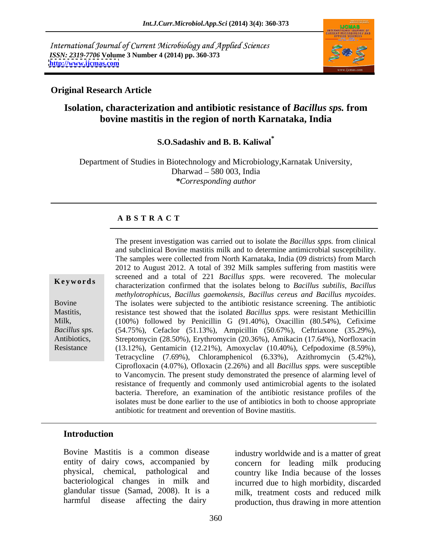International Journal of Current Microbiology and Applied Sciences *ISSN: 2319-7706* **Volume 3 Number 4 (2014) pp. 360-373 <http://www.ijcmas.com>**



### **Original Research Article**

## **Isolation, characterization and antibiotic resistance of** *Bacillus sps.* **from bovine mastitis in the region of north Karnataka, India**

**S.O.Sadashiv and B. B. Kaliwal\***

Department of Studies in Biotechnology and Microbiology,Karnatak University, Dharwad 580 003, India *\*Corresponding author* 

### **A B S T R A C T**

**Ke ywo rds** characterization confirmed that the isolates belong to *Bacillus subtilis, Bacillus* methylotrophicus, Bacillus gaemokensis, Bacillus cereus and Bacillus mycoides.<br>Bovine The isolates were subjected to the antibiotic resistance screening. The antibiotic Mastitis, resistance test showed that the isolated *Bacillus spps.* were resistant Methicillin Milk, (100%) followed by Penicillin G (91.40%), Oxacillin (80.54%), Cefixime *Bacillus sps.* (54.75%), Cefaclor (51.13%), Ampicillin (50.67%), Ceftriaxone (35.29%), The present investigation was carried out to isolate the *Bacillus spps*. from clinical<br>and subclinical Bovine mastitis milk and to determine antimicrobial susceptibility.<br>The samples were collected from North Karnataka, I and subclinical Bovine mastitis milk and to determine antimicrobial susceptibility. The samples were collected from North Karnataka, India (09 districts) from March 2012 to August 2012. A total of 392 Milk samples suffering from mastitis were screened and a total of 221 *Bacillus spps.* were recovered. The molecular Streptomycin (28.50%), Erythromycin (20.36%), Amikacin (17.64%), Norfloxacin (13.12%), Gentamicin (12.21%), Amoxyclav (10.40%), Cefpodoxime (8.59%), Tetracycline (7.69%), Chloramphenicol (6.33%), Azithromycin (5.42%), Ciprofloxacin (4.07%), Ofloxacin (2.26%) and all *Bacillus spps.* were susceptible to Vancomycin. The present study demonstrated the presence of alarming level of resistance of frequently and commonly used antimicrobial agents to the isolated bacteria. Therefore, an examination of the antibiotic resistance profiles of the isolates must be done earlier to the use of antibiotics in both to choose appropriate antibiotic for treatment and prevention of Bovine mastitis.

### **Introduction**

Bovine Mastitis is a common disease industry worldwide and is a matter of great entity of dairy cows, accompanied by physical, chemical, pathological and country like India because of the losses bacteriological changes in milk and glandular tissue (Samad, 2008). It is a milk, treatment costs and reduced milk

harmful disease affecting the dairy production, thus drawing in more attention concern for leading milk producing incurred due to high morbidity, discarded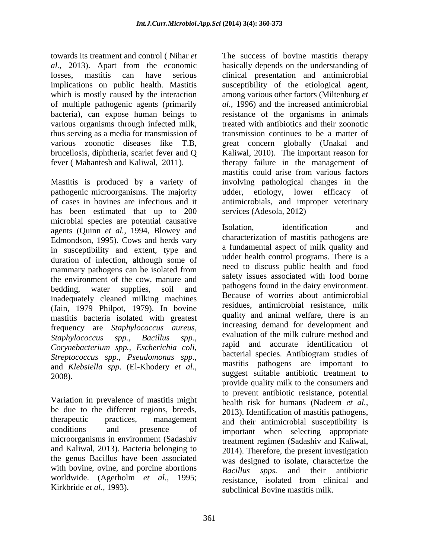towards its treatment and control ( Nihar *et*  The success of bovine mastitis therapy *al.,* 2013). Apart from the economic basically depends on the understanding of losses, mastitis can have serious clinical presentation and antimicrobial implications on public health. Mastitis susceptibility of the etiological agent, which is mostly caused by the interaction among various other factors (Miltenburg *et* of multiple pathogenic agents (primarily bacteria), can expose human beings to various organisms through infected milk, thus serving as a media for transmission of transmission continues to be a matter of various zoonotic diseases like T.B, great concern globally (Unakal and brucellosis, diphtheria, scarlet fever and Q Kaliwal, 2010). The important reason for fever ( Mahantesh and Kaliwal, 2011). therapy failure in the management of

Mastitis is produced by a variety of pathogenic microorganisms. The majority udder, etiology, lower efficacy of of cases in bovines are infectious and it antimicrobials, and improper veterinary has been estimated that up to 200 microbial species are potential causative<br>  $\frac{1004 \text{ Plurues and}}{1004 \text{ Plurues and}}$  Isolation. identification and agents (Quinn *et al.,* 1994, Blowey and Edmondson, 1995). Cows and herds vary in susceptibility and extent, type and duration of infection, although some of the environment of the cow, manure and inadequately cleaned milking machines (Jain, 1979 Philpot, 1979). In bovine mastitis bacteria isolated with greatest frequency are *Staphylococcus aureus, Corynebacterium spp., Escherichia coli, Streptococcus spp., Pseudomonas spp.,* and *Klebsiella spp*. (El-Khodery *et al.,*

be due to the different regions, breeds, microorganisms in environment (Sadashiv treatment regimen (Sadashiv and Kaliwal, and Kaliwal, 2013). Bacteria belonging to 2014). Therefore, the present investigation with bovine, ovine, and porcine abortions Bacillus spps. and their antibiotic worldwide. (Agerholm *et al.*, 1995; resistance, isolated from clinical and

*al.,* 1996) and the increased antimicrobial resistance of the organisms in animals treated with antibiotics and their zoonotic mastitis could arise from various factors involving pathological changes in the udder, etiology, lower efficacy services (Adesola, 2012)

mammary pathogens can be isolated from the negality discuss public nearly and rood bedding, water supplies, soil and painting painting in the dairy environment. *Staphylococcus spp., Bacillus spp.,* 2008).<br>
2008).<br>
2008).<br>
2008).<br>
2008).<br>
2008 youthout consumers and<br>
2008 to prevent antibiotic resistance, potential<br>
2008 which we consumers and<br>
2008 to prevent antibiotic resistance, potential<br>
2008 health risk for hum therapeutic practices, management and their antimicrobial susceptibility is conditions and presence of important when selecting appropriate the genus Bacillus have been associated was designed to isolate, characterize the Kirkbride *et al.*, 1993). Subclinical Bovine mastitis milk. Isolation, identification and characterization of mastitis pathogens are a fundamental aspect of milk quality and udder health control programs. There is a need to discuss public health and food safety issues associated with food borne pathogens found in the dairy environment. Because of worries about antimicrobial residues, antimicrobial resistance, milk quality and animal welfare, there is an increasing demand for development and evaluation of the milk culture method and rapid and accurate identification of bacterial species. Antibiogram studies of mastitis pathogens are important to suggest suitable antibiotic treatment to provide quality milk to the consumers and to prevent antibiotic resistance, potential health risk for humans (Nadeem *et al.,* 2013). Identification of mastitis pathogens, treatment regimen (Sadashiv and Kaliwal, 2014). Therefore, the present investigation *Bacillus spps.* and their antibiotic resistance, isolated from clinical and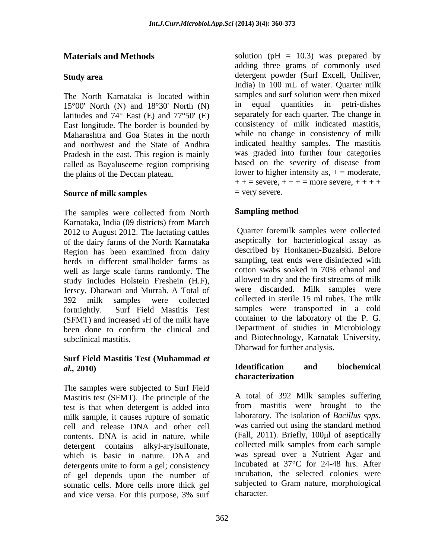The North Karnataka is located within samples and  $15^{\circ}00'$  North (N) and  $18^{\circ}30'$  North (N) in equal 15°00' North (N) and 18°30' North (N) latitudes and  $74^{\circ}$  East (E) and  $77^{\circ}50'$  (E) East longitude. The border is bounded by Maharashtra and Goa States in the north and northwest and the State of Andhra Pradesh in the east. This region is mainly called as Bayaluseeme region comprising the plains of the Deccan plateau.

### **Source of milk samples**  $=$  very severe.

The samples were collected from North Sampling method Karnataka, India (09 districts) from March 2012 to August 2012. The lactating cattles of the dairy farms of the North Karnataka Region has been examined from dairy herds in different smallholder farms as sampling, teat ends were disinfected with well as large scale farms randomly. The cotton swabs soaked in 70% ethanol and well as large scale farms randomly. The study includes Holstein Freshein (H.F), Jerscy, Dharwari and Murrah. A Total of

# **Surf Field Mastitis Test (Muhammad** *et*

The samples were subjected to Surf Field Mastitis test (SFMT). The principle of the test is that when detergent is added into milk sample, it causes rupture of somatic cell and release DNA and other cell contents. DNA is acid in nature, while detergent contains alkyl-arylsulfonate, which is basic in nature. DNA and detergents unite to form a gel; consistency of gel depends upon the number of somatic cells. More cells more thick gel and vice versa. For this purpose, 3% surf

**Materials and Methods** solution (pH = 10.3) was prepared by **Study area** detergent powder (Surf Excell, Uniliver, adding three grams of commonly used India) in 100 mL of water. Quarter milk samples and surf solution were then mixed quantities in petri-dishes separately for each quarter. The change in consistency of milk indicated mastitis, while no change in consistency of milk indicated healthy samples. The mastitis was graded into further four categories based on the severity of disease from lower to higher intensity as,  $+ =$  moderate,  $+ +$  = severe,  $+ +$  + = more severe,  $+$  + + +  $=$  very severe.

### **Sampling method**

392 milk samples were collected collected in sterile 15 ml tubes. The milk fortnightly. Surf Field Mastitis Test samples were transported in a cold (SFMT) and increased  $\beta$ H of the milk have container to the laboratory of the P. G. been done to confirm the clinical and Department of studies in Microbiology subclinical mastitis. and Biotechnology, Karnatak University, Quarter foremilk samples were collected aseptically for bacteriological assay as described by Honkanen-Buzalski. Before sampling, teat ends were disinfected with cotton swabs soaked in 70% ethanol and allowed to dry and the first streams of milk were discarded. Milk samples were container to the laboratory of the P. G. Department of studies in Microbiology Dharwad for further analysis.

### *al.,* **2010) Identification and biochemical characterization**

A total of 392 Milk samples suffering from mastitis were brought to the laboratory. The isolation of *Bacillus spps.* was carried out using the standard method (Fall, 2011). Briefly,  $100\mu l$  of aseptically collected milk samples from each sample was spread over a Nutrient Agar and incubated at 37°C for 24-48 hrs. After incubation, the selected colonies were subjected to Gram nature, morphological character.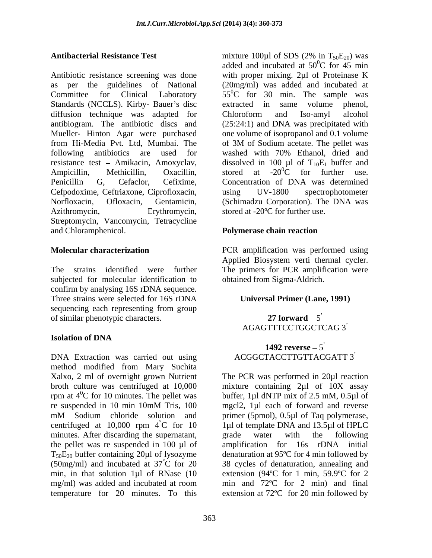Antibiotic resistance screening was done with proper mixing. 2µl of Proteinase K as per the guidelines of National (20mg/ml) was added and incubated at Committee for Clinical Laboratory  $55^{\circ}$ C for 30 min. The sample was Standards (NCCLS). Kirby- Bauer's disc extracted in same volume phenol, diffusion technique was adapted for Chloroform and Iso-amyl alcohol antibiogram. The antibiotic discs and (25:24:1) and DNA was precipitated with Mueller- Hinton Agar were purchased from Hi-Media Pvt. Ltd, Mumbai. The following antibiotics are used for washed with 70% Ethanol, dried and resistance test – Amikacin, Amoxyclav, dissolved in 100 µl of  $T_{10}E_1$  buffer and Ampicillin, Methicillin, Oxacillin, stored at -20<sup>0</sup>C for further use. Penicillin G, Cefaclor, Cefixime, Concentration of DNA was determined Cefpodoxime, Ceftriaxone, Ciprofloxacin, Norfloxacin, Ofloxacin, Gentamicin, (Schimadzu Corporation). The DNA was Azithromycin, Erythromycin, stored at -20°C for further use. Streptomycin, Vancomycin, Tetracycline and Chloramphenicol. **Polymerase chain reaction** 

The strains identified were further The primers for PCR amplification were subjected for molecular identification to confirm by analysing 16S rDNA sequence. Three strains were selected for 16S rDNA sequencing each representing from group<br>of similar phenotypic characters. 27 forward  $-5$ of similar phenotypic characters.

### **Isolation of DNA**

DNA Extraction was carried out using method modified from Mary Suchita Xalxo, 2 ml of overnight grown Nutrient The PCR was performed in 20µl reaction broth culture was centrifuged at 10,000 mixture containing 2µl of 10X assay rpm at  $4^{\circ}$ C for 10 minutes. The pellet was buffer, 1µl dNTP mix of 2.5 mM, 0.5µl of re suspended in 10 min 10mM Tris, 100 mM Sodium chloride solution and primer (5pmol), 0.5µl of Taq polymerase, centrifuged at  $10,000$  rpm  $4^{\circ}$ C for 10 minutes. After discarding the supernatant, grade water with the following the pellet was re suspended in 100 µl of amplification for 16s rDNA initial  $T_{50}E_{20}$  buffer containing 20µl of lysozyme denaturation at 95°C for 4 min followed by (50mg/ml) and incubated at  $37^{\circ}$ C for 20 min, in that solution 1µl of RNase (10 extension (94ºC for 1 min, 59.9ºC for 2 mg/ml) was added and incubated at room min and 72°C for 2 min) and final temperature for 20 minutes. To this extension at 72ºC for 20 min followed by

**Antibacterial Resistance Test** mixture 100µ1 of SDS (2% in T<sub>50</sub>E<sub>20</sub>) was mixture 100 $\mu$ 1 of SDS (2% in T<sub>50</sub>E<sub>20</sub>) was added and incubated at  $50^{\circ}$ C for 45 min  ${}^{0}C$  for 45 min extracted in same volume Chloroform and Iso-amyl alcohol one volume of isopropanol and 0.1 volume of 3M of Sodium acetate. The pellet was dissolved in 100  $\mu$ l of T<sub>10</sub>E<sub>1</sub> buffer and stored at -20<sup>0</sup>C for further use. stored at  $-20^{\circ}\text{C}$  for further use. using UV-1800 spectrophotometer

**Molecular characterization** PCR amplification was performed using Applied Biosystem verti thermal cycler. obtained from Sigma-Aldrich.

### **Universal Primer (Lane, 1991)**

**27 forward – 5<br>AGAGTTTCCTGGCTCAG 3<sup>'</sup>** 

### **1492 reverse**  $-5$ ACGGCTACCTTGTTACGATT 3

 $^{\circ}$ C for 10 1µl of template DNA and 13.5µl of HPLC °C for 20 38 cycles of denaturation, annealing and mgcl2, 1µl each of forward and reverse primer (5pmol), 0.5µl of Taq polymerase, grade water with the following amplification for 16s rDNA initial min and 72ºC for 2 min) and final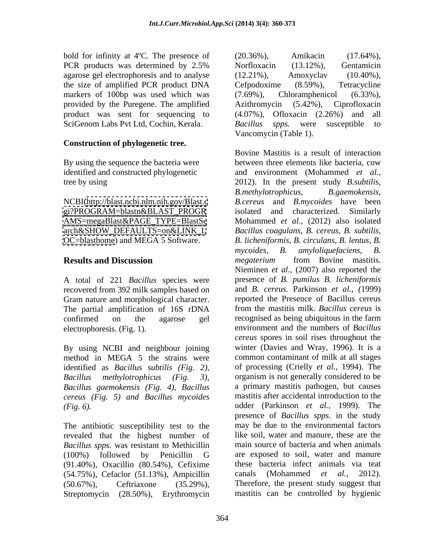hold for infinity at 4°C. The presence of (20.36%), Amikacin (17.64%), agarose gel electrophoresis and to analyse (12.21%), Amoxyclav (10.40%), the size of amplified PCR product DNA Cefpodoxime (8.59%), Tetracycline markers of 100bp was used which was (7.69%), Chloramphenicol (6.33%), provided by the Puregene. The amplified Azithromycin (5.42%), Ciprofloxacin product was sent for sequencing to (4.07%), Ofloxacin (2.26%) and all SciGenom Labs Pvt Ltd, Cochin, Kerala. Bacillus spps. were susceptible to

### **Construction of phylogenetic tree.**

[AMS=megaBlast&PAGE\\_TYPE=BlastSe](AMS=megaBlast&PAGE_TYPE=BlastSe) [arch&SHOW\\_DEFAULTS=on&LINK\\_L](arch&SHOW_DEFAULTS=on&LINK_L)

A total of 221 *Bacillus* species were recovered from 392 milk samples based on Gram nature and morphological character. The partial amplification of 16S rDNA confirmed on the agarose gel

By using NCBI and neighbour joining method in MEGA 5 the strains were identified as *Bacillus subtilis (Fig. 2), Bacillus gaemokensis (Fig. 4), Bacillus cereus (Fig. 5) and Bacillus mycoides*

The antibiotic susceptibility test to the revealed that the highest number of *Bacillus spps.* was resistant to Methicillin (91.40%), Oxacillin (80.54%), Cefixime these bacteria infect animals (54.75%), Cefaclor (51.13%), Ampicillin canals (Mohammed *et al.*  $(54.75\%)$ , Cefaclor  $(51.13\%)$ , Ampicillin canals (Mohammed *et al.*, 2012). Streptomycin (28.50%), Erythromycin mastitis can be controlled by hygienic

PCR products was determined by 2.5% Norfloxacin (13.12%), Gentamicin (20.36%), Amikacin (17.64%), Norfloxacin (13.12%), Gentamicin (12.21%), Amoxyclav (10.40%), Cefpodoxime (8.59%), Tetracycline Chloramphenicol Azithromycin (5.42%), Ciprofloxacin (4.07%), Ofloxacin (2.26%) and all *Bacillus spps.* were susceptible to Vancomycin (Table 1).

By using the sequence the bacteria were between three elements like bacteria, cow identified and constructed phylogenetic and environment (Mohammed *et al.,* tree by using 2012). In the present study *B.subtilis,*  NCBI[\(http://blast.ncbi.nlm.nih.gov/Blast.c](http://blast.ncbi.nlm.nih.gov/Blast.c) *B.cereus* and *B.mycoides* have been [gi?PROGRAM=blastn&BLAST\\_PROGR](gi?PROGRAM=blastn&BLAST_PROGR) isolated and characterized. Similarly <OC=blasthome>) and MEGA 5 Software. *B. licheniformis, B. circulans, B. lentus, B.* **Results and Discussion** *megaterium* from Bovine mastitis. electrophoresis. (Fig. 1). environment and the numbers of *Bacillus Bacillus methylotrophicus (Fig. 3),* organism is not generally considered to be *(Fig. 6).*  udder (Parkinson *et al.,* 1999). The (100%) followed by Penicillin G (50.67%), Ceftriaxone (35.29%), Therefore, the present study suggest that Bovine Mastitis is a result of interaction between three elements like bacteria, cow *B.methylotrophicus, B.gaemokensis,* isolated and characterized. Similarly Mohammed *et al.,* (2012) also isolated *Bacillus coagulans*, *B. cereus, B. subtilis, mycoides, B. amyloliquefaciens, B. megaterium* from Bovine mastitis*.* Nieminen *et al.,* (2007) also reported the presence of *B. pumilus B. licheniformis* and *B. cereus.* Parkinson *et al., (*1999) reported the Presence of Bacillus cereus from the mastitis milk. *Bacillus cereus* is recognised as being ubiquitous in the farm *cereus* spores in soil rises throughout the winter (Davies and Wray, 1996). It is a common contaminant of milk at all stages of processing (Crielly *et al.,* 1994). The a primary mastitis pathogen, but causes mastitis after accidental introduction to the presence of *Bacillus spps.* in the study may be due to the environmental factors like soil, water and manure, these are the main source of bacteria and when animals are exposed to soil, water and manure these bacteria infect animals via teat canals (Mohammed *et al.,* 2012).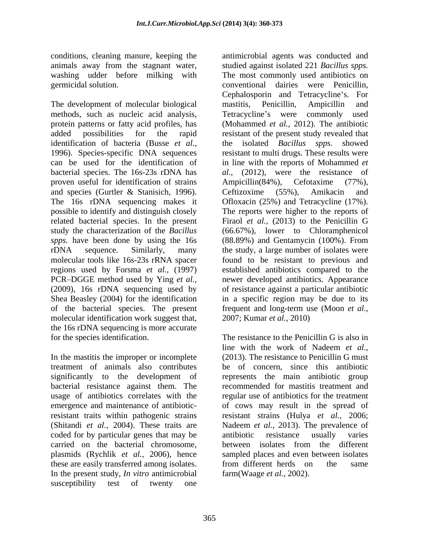The development of molecular biological mastitis, Penicillin, Ampicillin and proven useful for identification of strains Ampicillin(84%), Cefotaxime (77%), and species (Gurtler & Stanisich, 1996). related bacterial species. In the present of the bacterial species. The present molecular identification work suggest that, the 16s rDNA sequencing is more accurate

treatment of animals also contributes bacterial resistance against them. The coded for by particular genes that may be antibiotic resistance usually varies carried on the bacterial chromosome, plasmids (Rychlik *et al.,* 2006), hence these are easily transferred among isolates. Trom different herds on the same In the present study, *In vitro* antimicrobial susceptibility test of twenty one

conditions, cleaning manure, keeping the antimicrobial agents was conducted and animals away from the stagnant water, studied against isolated 221 *Bacillus spps.*  washing udder before milking with The most commonly used antibiotics on germicidal solution. conventional dairies were Penicillin, methods, such as nucleic acid analysis, Tetracycline's were commonly used protein patterns or fatty acid profiles, has (Mohammed *et al.*, 2012). The antibiotic added possibilities for the rapid resistant of the present study revealed that identification of bacteria (Busse *et al.,* the isolated *Bacillus spps.* showed 1996). Species-specific DNA sequences resistant to multi drugs. These results were can be used for the identification of in line with the reports of Mohammed *et*  bacterial species. The 16s-23s rDNA has *al.,* (2012), were the resistance of The 16s rDNA sequencing makes it Ofloxacin (25%) and Tetracycline (17%). possible to identify and distinguish closely The reports were higher to the reports of study the characterization of the *Bacillus*  (66.67%), lower to Chloramphenicol *spps.* have been done by using the 16s (88.89%) and Gentamycin (100%). From rDNA sequence. Similarly, many the study, a large number of isolates were molecular tools like 16s-23s rRNA spacer found to be resistant to previous and regions used by Forsma *et al.,* (1997) established antibiotics compared to the PCR-DGGE method used by Ying *et al.*, newer developed antibiotics. Appearance (2009), 16s rDNA sequencing used by of resistance against a particular antibiotic Shea Beasley (2004) for the identification in a specific region may be due to its Cephalosporin and Tetracycline's. For mastitis, Penicillin, Ampicillin and Ampicillin(84%), Cefotaxime (77%), Ceftizoxime (55%), Amikacin and Firaol *et al.,* (2013) to the Penicillin G frequent and long-term use (Moon *et al.,* 2007; Kumar *et al.,* 2010)

for the species identification.<br>In the mastitis the improper or incomplete In the work of Nadeem *et al.*,<br>In the mastitis the improper or incomplete (2013). The resistance to Penicillin G must significantly to the development of represents the main antibiotic group usage of antibiotics correlates with the regular use of antibiotics for the treatment emergence and maintenance of antibiotic-of cows may result in the spread of resistant traits within pathogenic strains resistant strains (Hulya *et al.,* 2006; (Shitandi *et al.,* 2004). These traits are Nadeem *et al.,* 2013). The prevalence of The resistance to the Penicillin G is also in line with the work of Nadeem *et al.,* (2013). The resistance to Penicillin G must be of concern, since this antibiotic recommended for mastitis treatment and antibiotic resistance usually varies between isolates from the different sampled places and even between isolates from different herds on the same farm(Waage *et al.,* 2002).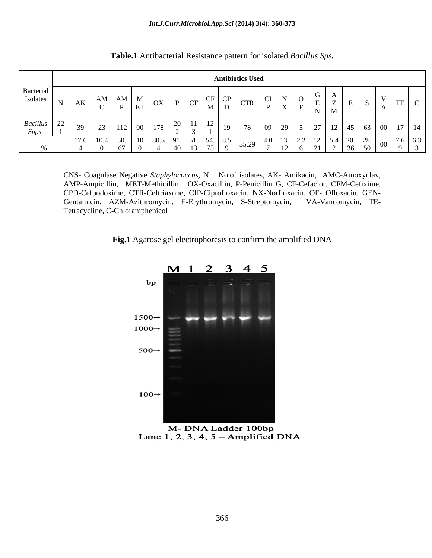|                              |                 |              |                                                                          |                    |                   | <b>Antibiotics Used</b>      |        |                    |                                            |        |      |       |
|------------------------------|-----------------|--------------|--------------------------------------------------------------------------|--------------------|-------------------|------------------------------|--------|--------------------|--------------------------------------------|--------|------|-------|
| Bacterial<br><b>Isolates</b> | AN <sub>1</sub> | $\Delta M$   | $\mathbf{M}$<br>$\alpha v$<br>$\Gamma_{\text{ET}}$   $\mathsf{U}\Lambda$ | 1 U.P              | $\mathbf{M}$      | I CP<br>CID<br>C11<br>$\Box$ | CI I   | - 0<br>$\Lambda$ 1 | $\mathbf{M}$ $\mathbf{M}$                  | $\sim$ |      |       |
| Bacillus                     |                 | $\mathbf{a}$ | $112$ 00 178 $\frac{20}{2}$                                              |                    | $\frac{12}{1}$ 19 | $\sim$ $\sim$                | 109129 |                    | 27   12   45   63                          |        | - 00 | _____ |
| $_{\rm 2PP}$ .               |                 | -50          | $10 \mid 80.5 \mid 91.$                                                  | <b>E</b> 1<br>4∩ - | $12 \mid 75 \mid$ | $-8.5 +$                     | $-4.0$ |                    | $-12$   5.4   20.   20.  <br>$21 \t2 \t36$ |        |      | 761   |

**Table.1** Antibacterial Resistance pattern for isolated *Bacillus Sps.*

CNS- Coagulase Negative *Staphylococcus*, N - No.of isolates, AK- Amikacin, AMC-Amoxyclav, AMP-Ampicillin, MET-Methicillin, OX-Oxacillin, P-Penicillin G, CF-Cefaclor, CFM-Cefixime, CPD-Cefpodoxime, CTR-Ceftriaxone, CIP-Ciprofloxacin, NX-Norfloxacin, OF- Ofloxacin, GEN- Gentamicin, AZM-Azithromycin, E-Erythromycin, S-Streptomycin, VA-Vancomycin, TE- Tetracycline, C-Chloramphenicol

**Fig.1** Agarose gel electrophoresis to confirm the amplified DNA



M-DNA Ladder 100bp Lane 1, 2, 3, 4,  $5 -$ Amplified DNA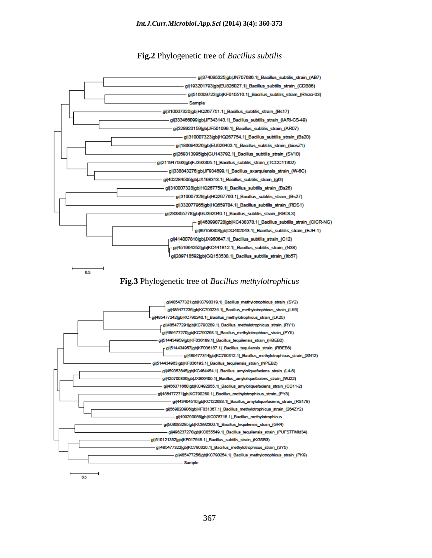**Fig.2** Phylogenetic tree of *Bacillus subtilis*

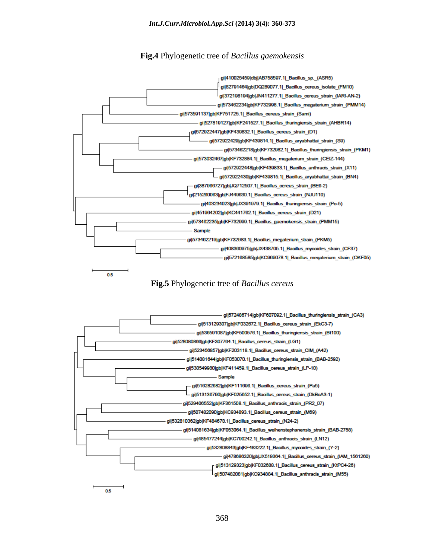### **Fig.4** Phylogenetic tree of *Bacillus gaemokensis*







 $0.5$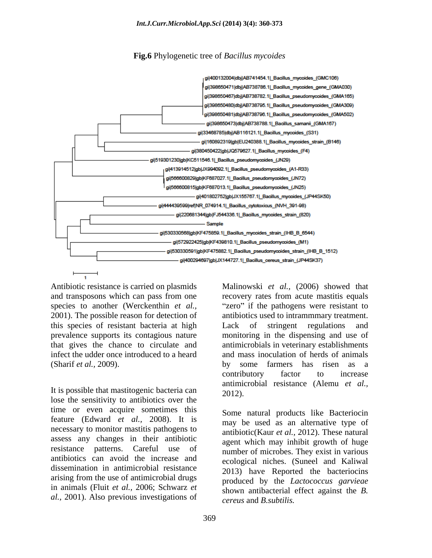**Fig.6** Phylogenetic tree of *Bacillus mycoides*



Antibiotic resistance is carried on plasmids Malinowski *et al.,* (2006) showed that and transposons which can pass from one recovery rates from acute mastitis equals species to another (Werckenthin *et al.*, "zero" if the pathogens were resistant to 2001). The possible reason for detection of antibiotics used to intrammuary treatment. this species of resistant bacteria at high Lack of stringent regulations and prevalence supports its contagious nature monitoring in the dispensing and use of that gives the chance to circulate and antimicrobials in veterinary establishments infect the udder once introduced to a heard and mass inoculation of herds of animals (Sharif *et al.,* 2009). by some farmers has risen as a

It is possible that mastitogenic bacteria can  $2012$ ). lose the sensitivity to antibiotics over the time or even acquire sometimes this Some natural products like Bacteriocin feature (Edward *et al.,* 2008). It is necessary to monitor mastitis pathogens to assess any changes in their antibiotic resistance patterns. Careful use of number of microbes. They exist in various antibiotics can avoid the increase and dissemination in antimicrobial resistance arising from the use of antimicrobial drugs in animals (Fluit *et al.,* 2006; Schwarz *et al.,* 2001). Also previous investigations of

antibiotics used to intrammmary treatment. Lack of stringent regulations and contributory factor to increase antimicrobial resistance (Alemu *et al.,* 2012). Some natural products like Bacteriocin

may be used as an alternative type of antibiotic(Kaur *et al.,* 2012). These natural agent which may inhibit growth of huge ecological niches. (Suneel and Kaliwal 2013) have Reported the bacteriocins produced by the *Lactococcus garvieae* shown antibacterial effect against the *B. cereus* and *B.subtilis.*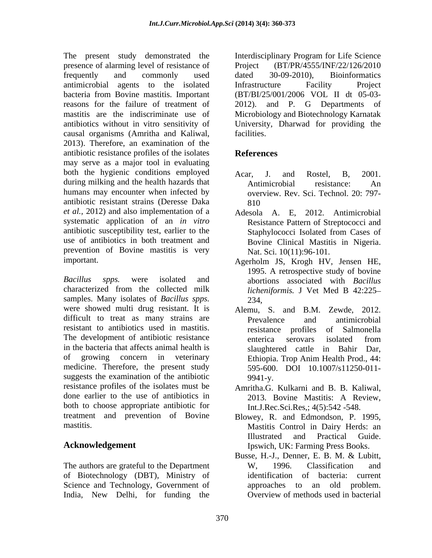The present study demonstrated the Interdisciplinary Program for Life Science presence of alarming level of resistance of frequently and commonly used dated 30-09-2010), Bioinformatics antimicrobial agents to the isolated bacteria from Bovine mastitis. Important (BT/BI/25/001/2006 VOL II dt 05-03 reasons for the failure of treatment of 2012). and P. G Departments of mastitis are the indiscriminate use of Microbiology and Biotechnology Karnatak antibiotics without in vitro sensitivity of University, Dharwad for providing the causal organisms (Amritha and Kaliwal, 2013). Therefore, an examination of the antibiotic resistance profiles of the isolates may serve as a major tool in evaluating both the hygienic conditions employed Acar, J. and Rostel, B. 2001. during milking and the health hazards that  $\overline{r}$  Antimicrobial resistance: An humans may encounter when infected by antibiotic resistant strains (Deresse Daka *et al.,* 2012) and also implementation of a Adesola A. E, 2012. Antimicrobial systematic application of an *in vitro* antibiotic susceptibility test, earlier to the<br>
Staphylococci Isolated from Cases of use of antibiotics in both treatment and Bovine Clinical Mastitis in Nigeria. prevention of Bovine mastitis is very

*Bacillus spps.* were isolated and abortions associated with *Bacillus*  characterized from the collected milk samples. Many isolates of *Bacillus spps.* were showed multi drug resistant. It is difficult to treat as many strains are **Prevalence** and antimicrobial resistant to antibiotics used in mastitis. The development of antibiotic resistance enterica serovars isolated from in the bacteria that affects animal health is of growing concern in veterinary Ethiopia. Trop Anim Health Prod., 44: medicine. Therefore, the present study suggests the examination of the antibiotic 9941-v. resistance profiles of the isolates must be Amritha.G. Kulkarni and B. B.Kaliwal, done earlier to the use of antibiotics in 2013. Bovine Mastitis: A Review, both to choose appropriate antibiotic for treatment and prevention of Bovine Blowey, R. and Edmondson, P. 1995,

The authors are grateful to the Department W, 1996. Classification and of Biotechnology (DBT), Ministry of Science and Technology, Government of India, New Delhi, for funding the

(BT/PR/4555/INF/22/126/2010) dated 30-09-2010), Bioinformatics Infrastructure Facility Project 2012). and P. G Departments of facilities.

## **References**

- Acar, J. and Rostel, B, 2001. Antimicrobial resistance: An overview. Rev. Sci. Technol. 20: 797- 810
- Resistance Pattern of Streptococci and Staphylococci Isolated from Cases of Nat. Sci. 10(11):96-101.
- important. Agerholm JS, Krogh HV, Jensen HE, 1995. A retrospective study of bovine *licheniformis.* J Vet Med B 42:225 234,
	- Alemu, S. and B.M. Zewde, 2012. Prevalence and antimicrobial resistance profiles of Salmonella enterica serovars isolated from slaughtered cattle in Bahir Dar, Ethiopia. Trop Anim Health Prod., 44: 595-600. DOI 10.1007/s11250-011- 9941-y.
	- 2013. Bovine Mastitis: A Review, Int.J.Rec.Sci.Res,; 4(5):542 -548.
- mastitis. Mastitis Control in Dairy Herds: an **Acknowledgement**  Ipswich, UK: Farming Press Books. Illustrated and Practical Guide.
	- Busse, H.-J., Denner, E. B. M. & Lubitt, W, 1996. Classification and identification of bacteria: current approaches to an old problem. Overview of methods used in bacterial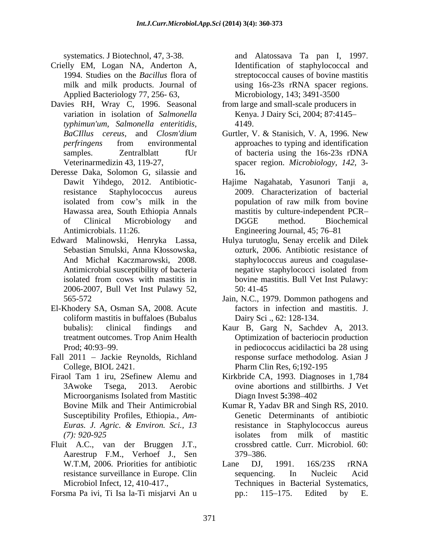- Crielly EM, Logan NA, Anderton A, 1994. Studies on the *Bacillus* flora of streptococcal causes of bovine mastitis milk and milk products. Journal of using 16s-23s rRNA spacer regions. Applied Bacteriology 77, 256- 63,
- Davies RH, Wray C, 1996. Seasonal variation in isolation of *Salmonella*  Kenya. J Dairy Sci, 2004; 87:4145 *typhimun'um, Salmonella enteritidis,*
- Deresse Daka, Solomon G, silassie and Antimicrobials. 11:26. Engineering Journal, 45; 76–81
- Edward Malinowski, Henryka Lassa, Hulya turutoglu, Senay ercelik and Dilek 2006-2007, Bull Vet Inst Pulawy 52,
- El-Khodery SA, Osman SA, 2008. Acute coliform mastitis in buffaloes (Bubalus
- Fall 2011 Jackie Reynolds, Richland
- Firaol Tam 1 iru, 2Sefinew Alemu and Kirkbride CA, 1993. Diagnoses in 1,784 Susceptibility Profiles, Ethiopia., *Am-*
- Fluit A.C., van der Bruggen J.T., Aarestrup F.M., Verhoef J., Sen 379–386.
- Forsma Pa ivi, Ti Isa la-Ti misjarvi An u

systematics. J Biotechnol, 47, 3-38. and Alatossava Ta pan I, 1997. Identification of staphylococcal and Microbiology, 143; 3491-3500

- from large and small-scale producers in 4149.
- *BaCIllus cereus,* and *Closm'dium*  Gurtler, V. & Stanisich, V. A, 1996. New *perfringens* from environmental approaches to typing and identification samples. Zentralblatt fUr of bacteria using the 16s-23s rDNA Veterinarmedizin 43, 119-27, spacer region. *Microbiology, 142,* 3- 16**.**
- Dawit Yihdego,2012. Antibiotic-Hajime Nagahatab, Yasunori Tanji a, resistance Staphylococcus aureus 2009. Characterization of bacterial isolated from cow's milk in the population of raw milk from bovine Hawassa area, South Ethiopia Annals mastitis by culture-independent PCR of Clinical Microbiology and population of raw milk from bovine DGGE method. Biochemical
- Sebastian Smulski, Anna Kłossowska, ozturk, 2006. Antibiotic resistance of And Michał Kaczmarowski, 2008. staphylococcus aureus and coagulase-Antimicrobial susceptibility of bacteria negative staphylococci isolated from isolated from cows with mastitis in bovine mastitis. Bull Vet Inst Pulawy: negative staphylococci isolated from bovine mastitis. Bull Vet Inst Pulawy: 50: 41-45
- 565-572 Jain, N.C., 1979. Dommon pathogens and factors in infection and mastitis. J. Dairy Sci ., 62: 128-134.
- bubalis): clinical findings and Kaur B, Garg N, Sachdev A, 2013. treatment outcomes. Trop Anim Health Prod; 40:93–99. The entries in pediococcus acidilactici ba 28 using College, BIOL 2421. Pharm Clin Res, 6;192-195 Kaur B, Garg N, Sachdev A, 2013. Optimization of bacteriocin production response surface methodolog. Asian J
- 3Awoke Tsega, 2013. Aerobic ovine abortions and stillbirths. J Vet Microorganisms Isolated from Mastitic Diagn Invest 5:398–402 Diagn Invest **5:**398–402
- Bovine Milk and Their Antimicrobial Kumar R, Yadav BR and Singh RS, 2010. *Euras. J. Agric. & Environ. Sci., 13 (7): 920-925* Genetic Determinants of antibiotic resistance in Staphylococcus aureus isolates from milk of mastitic crossbred cattle. Curr. Microbiol. 60: 379 386.
- W.T.M, 2006. Priorities for antibiotic Lane DJ, 1991. 16S/23S rRNA resistance surveillance in Europe. Clin Microbiol Infect, 12, 410-417., Techniques in Bacterial Systematics, Lane DJ, 1991. 16S/23S rRNA sequencing. In Nucleic Acid pp.: 115–175. Edited by E.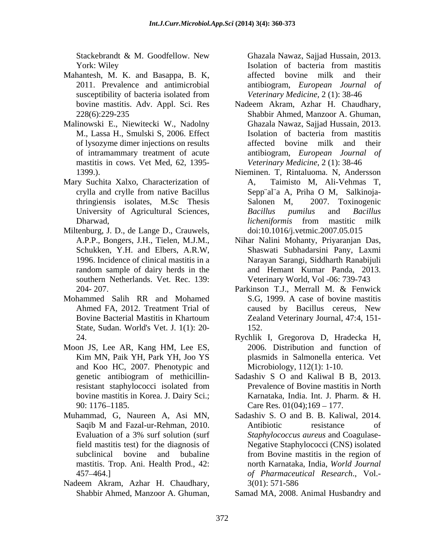York: Wiley **Solution** Isolation of bacteria from mastitis

- Mahantesh, M. K. and Basappa, B. K,
- Malinowski E., Niewitecki W., Nadolny of lysozyme dimer injections on results mastitis in cows. Vet Med, 62, 1395-
- Mary Suchita Xalxo, Characterization of
- Miltenburg, J. D., de Lange D., Crauwels, random sample of dairy herds in the southern Netherlands. Vet. Rec. 139:
- Mohammed Salih RR and Mohamed State, Sudan. World's Vet. J. 1(1): 20-
- Moon JS, Lee AR, Kang HM, Lee ES, and Koo HC, 2007. Phenotypic and
- mastitis. Trop. Ani. Health Prod., 42:
- Nadeem Akram, Azhar H. Chaudhary,

Stackebrandt & M. Goodfellow. New Ghazala Nawaz, Sajjad Hussain, 2013. 2011. Prevalence and antimicrobial antibiogram, *European Journal of* susceptibility of bacteria isolated from Veterinary Medicine, 2(1): 38-46 affected bovine milk and their *Veterinary Medicine,* 2 (1): 38-46

- bovine mastitis. Adv. Appl. Sci. Res Nadeem Akram, Azhar H. Chaudhary, 228(6):229-235 Shabbir Ahmed, Manzoor A. Ghuman, M., Lassa H., Smulski S, 2006. Effect of intramammary treatment of acute antibiogram, *European Journal of* Ghazala Nawaz, Sajjad Hussain, 2013. Isolation of bacteria from mastitis affected bovine milk and their *Veterinary Medicine*, 2 (1): 38-46
- 1399.). Nieminen. T, Rintaluoma. N, Andersson crylla and crylle from native Bacillus Sepp¨al¨a A, Priha O M, Salkinoja thringiensis isolates, M.Sc Thesis University of Agricultural Sciences, Bacillus pumilus and Bacillus Dharwad, *licheniformis* from mastitic milk Taimisto M, Ali-Vehmas T, Salonen M, 2007. Toxinogenic *Bacillus pumilus* and *Bacillus licheniformis* from mastitic milk doi:10.1016/j.vetmic.2007.05.015
- A.P.P., Bongers, J.H., Tielen, M.J.M., Nihar Nalini Mohanty, Priyaranjan Das, Schukken, Y.H. and Elbers, A.R.W, Shaswati Subhadarsini Pany, Laxmi 1996. Incidence of clinical mastitis in a Narayan Sarangi, Siddharth Ranabijuli and Hemant Kumar Panda, 2013. Veterinary World, Vol -06: 739-743
- 204-207. **Parkinson T.J., Merrall M. & Fenwick** Ahmed FA, 2012. Treatment Trial of caused by Bacillus cereus, New Bovine Bacterial Mastitis in Khartoum Zealand Veterinary Journal, 47:4, 151-Parkinson T.J., Merrall M. & Fenwick S.G, 1999. A case of bovine mastitis caused by Bacillus cereus, New Zealand Veterinary Journal, 47:4, 151- 152.
- 24. Rychlik I, Gregorova D, Hradecka H, Kim MN, Paik YH, Park YH, Joo YS plasmids in Salmonella enterica. Vet 2006. Distribution and function of Microbiology, 112(1): 1-10.
- genetic antibiogram of methicillin-<br>Sadashiv S O and Kaliwal B B, 2013. resistant staphylococci isolated from Prevalence of Bovine mastitis in North bovine mastitis in Korea. J. Dairy Sci.; <br> Karnataka, India. Int. J. Pharm. & H. 90: 1176–1185. Care Res. 01(04);169 – 177. Sadashiv S O and Kaliwal B B, 2013. Prevalence of Bovine mastitis in North Karnataka, India. Int. J. Pharm. & H.
- Muhammad, G, Naureen A, Asi MN, Sadashiv S. O and B. B. Kaliwal, 2014. Saqib M and Fazal-ur-Rehman, 2010. Antibiotic resistance of Evaluation of a 3% surf solution (surf Staphylococcus aureus and Coagulasefield mastitis test) for the diagnosis of Negative Staphylococci (CNS) isolated subclinical bovine and bubaline from Bovine mastitis in the region of 457 464.] *of Pharmaceutical Research*., Vol.- Shackbetand & M. Goodfellow. New Usuatral Namba<br>
Shabbir Ahmed, Manzoor Anchel Boyin and the manish and the manish and the state of the state of the state of the state of the state of the state of the state of the state o Antibiotic resistance of *Staphylococcus aureus* and Coagulase-Negative Staphylococci (CNS) isolated from Bovine mastitis in the region of north Karnataka, India, *World Journal* 3(01): 571-586

Samad MA, 2008. Animal Husbandry and